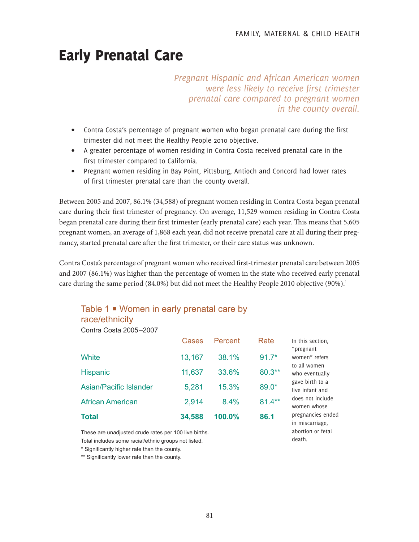abortion or fetal

death.

# Early Prenatal Care

*Pregnant Hispanic and African American women were less likely to receive first trimester prenatal care compared to pregnant women in the county overall.*

- Contra Costa's percentage of pregnant women who began prenatal care during the first trimester did not meet the Healthy People 2010 objective.
- A greater percentage of women residing in Contra Costa received prenatal care in the first trimester compared to California.
- Pregnant women residing in Bay Point, Pittsburg, Antioch and Concord had lower rates of first trimester prenatal care than the county overall.

Between 2005 and 2007, 86.1% (34,588) of pregnant women residing in Contra Costa began prenatal care during their first trimester of pregnancy. On average, 11,529 women residing in Contra Costa began prenatal care during their first trimester (early prenatal care) each year. This means that 5,605 pregnant women, an average of 1,868 each year, did not receive prenatal care at all during their pregnancy, started prenatal care after the first trimester, or their care status was unknown.

Contra Costa's percentage of pregnant women who received first-trimester prenatal care between 2005 and 2007 (86.1%) was higher than the percentage of women in the state who received early prenatal care during the same period (84.0%) but did not meet the Healthy People 2010 objective (90%).<sup>1</sup>

# Table 1 **■** Women in early prenatal care by race/ethnicity

Contra Costa 2005–2007

|                               | Cases  | Percent | Rate      | In this section,<br>"pregnant        |
|-------------------------------|--------|---------|-----------|--------------------------------------|
| White                         | 13,167 | 38.1%   | $91.7*$   | women" refers<br>to all women        |
| <b>Hispanic</b>               | 11,637 | 33.6%   | $80.3**$  | who eventually                       |
| <b>Asian/Pacific Islander</b> | 5,281  | 15.3%   | 89.0*     | gave birth to a<br>live infant and   |
| <b>African American</b>       | 2,914  | 8.4%    | $81.4***$ | does not include<br>women whose      |
| <b>Total</b>                  | 34,588 | 100.0%  | 86.1      | pregnancies ended<br>in miscarriage. |

These are unadjusted crude rates per 100 live births.

Total includes some racial/ethnic groups not listed.

\* Significantly higher rate than the county.

\*\* Significantly lower rate than the county.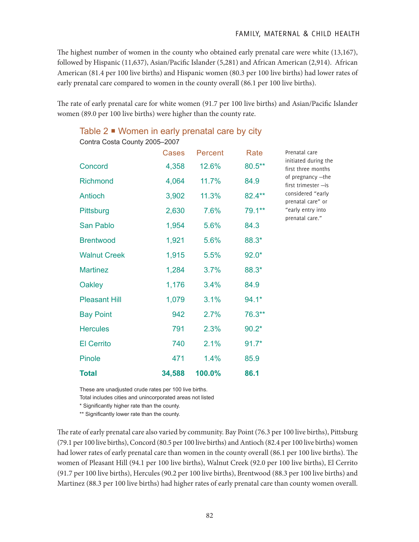The highest number of women in the county who obtained early prenatal care were white (13,167), followed by Hispanic (11,637), Asian/Pacific Islander (5,281) and African American (2,914). African American (81.4 per 100 live births) and Hispanic women (80.3 per 100 live births) had lower rates of early prenatal care compared to women in the county overall (86.1 per 100 live births).

The rate of early prenatal care for white women (91.7 per 100 live births) and Asian/Pacific Islander women (89.0 per 100 live births) were higher than the county rate.

| Contra Costa County 2005-2007 |              |         |         |                                                                                                                                                                                            |
|-------------------------------|--------------|---------|---------|--------------------------------------------------------------------------------------------------------------------------------------------------------------------------------------------|
|                               | <b>Cases</b> | Percent | Rate    | Prenatal care<br>initiated during the<br>first three months<br>of pregnancy -the<br>first trimester - is<br>considered "early<br>prenatal care" or<br>"early entry into<br>prenatal care." |
| Concord                       | 4,358        | 12.6%   | 80.5**  |                                                                                                                                                                                            |
| <b>Richmond</b>               | 4,064        | 11.7%   | 84.9    |                                                                                                                                                                                            |
| Antioch                       | 3,902        | 11.3%   | 82.4**  |                                                                                                                                                                                            |
| Pittsburg                     | 2,630        | 7.6%    | 79.1**  |                                                                                                                                                                                            |
| San Pablo                     | 1,954        | 5.6%    | 84.3    |                                                                                                                                                                                            |
| <b>Brentwood</b>              | 1,921        | 5.6%    | 88.3*   |                                                                                                                                                                                            |
| <b>Walnut Creek</b>           | 1,915        | 5.5%    | $92.0*$ |                                                                                                                                                                                            |
| <b>Martinez</b>               | 1,284        | 3.7%    | 88.3*   |                                                                                                                                                                                            |
| Oakley                        | 1,176        | 3.4%    | 84.9    |                                                                                                                                                                                            |
| <b>Pleasant Hill</b>          | 1,079        | 3.1%    | $94.1*$ |                                                                                                                                                                                            |
| <b>Bay Point</b>              | 942          | 2.7%    | 76.3**  |                                                                                                                                                                                            |
| <b>Hercules</b>               | 791          | 2.3%    | $90.2*$ |                                                                                                                                                                                            |
| <b>El Cerrito</b>             | 740          | 2.1%    | $91.7*$ |                                                                                                                                                                                            |
| Pinole                        | 471          | 1.4%    | 85.9    |                                                                                                                                                                                            |
| Total                         | 34,588       | 100.0%  | 86.1    |                                                                                                                                                                                            |

# Table 2 ■ Women in early prenatal care by city

These are unadjusted crude rates per 100 live births.

Total includes cities and unincorporated areas not listed

\* Significantly higher rate than the county.

\*\* Significantly lower rate than the county.

The rate of early prenatal care also varied by community. Bay Point (76.3 per 100 live births), Pittsburg (79.1 per 100 live births), Concord (80.5 per 100 live births) and Antioch (82.4 per 100 live births) women had lower rates of early prenatal care than women in the county overall (86.1 per 100 live births). The women of Pleasant Hill (94.1 per 100 live births), Walnut Creek (92.0 per 100 live births), El Cerrito (91.7 per 100 live births), Hercules (90.2 per 100 live births), Brentwood (88.3 per 100 live births) and Martinez (88.3 per 100 live births) had higher rates of early prenatal care than county women overall.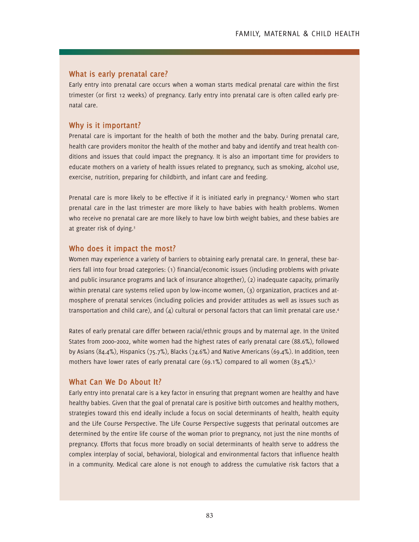### **What is early prenatal care?**

Early entry into prenatal care occurs when a woman starts medical prenatal care within the first trimester (or first 12 weeks) of pregnancy. Early entry into prenatal care is often called early prenatal care.

#### **Why is it important?**

Prenatal care is important for the health of both the mother and the baby. During prenatal care, health care providers monitor the health of the mother and baby and identify and treat health conditions and issues that could impact the pregnancy. It is also an important time for providers to educate mothers on a variety of health issues related to pregnancy, such as smoking, alcohol use, exercise, nutrition, preparing for childbirth, and infant care and feeding.

Prenatal care is more likely to be effective if it is initiated early in pregnancy.<sup>2</sup> Women who start prenatal care in the last trimester are more likely to have babies with health problems. Women who receive no prenatal care are more likely to have low birth weight babies, and these babies are at greater risk of dying.3

#### **Who does it impact the most?**

Women may experience a variety of barriers to obtaining early prenatal care. In general, these barriers fall into four broad categories: (1) financial/economic issues (including problems with private and public insurance programs and lack of insurance altogether), (2) inadequate capacity, primarily within prenatal care systems relied upon by low-income women, (3) organization, practices and atmosphere of prenatal services (including policies and provider attitudes as well as issues such as transportation and child care), and  $(q)$  cultural or personal factors that can limit prenatal care use.<sup>4</sup>

Rates of early prenatal care differ between racial/ethnic groups and by maternal age. In the United States from 2000–2002, white women had the highest rates of early prenatal care (88.6%), followed by Asians (84.4%), Hispanics (75.7%), Blacks (74.6%) and Native Americans (69.4%). In addition, teen mothers have lower rates of early prenatal care  $(69.1\%)$  compared to all women  $(83.4\%)$ <sup>5</sup>

## **What Can We Do About It?**

Early entry into prenatal care is a key factor in ensuring that pregnant women are healthy and have healthy babies. Given that the goal of prenatal care is positive birth outcomes and healthy mothers, strategies toward this end ideally include a focus on social determinants of health, health equity and the Life Course Perspective. The Life Course Perspective suggests that perinatal outcomes are determined by the entire life course of the woman prior to pregnancy, not just the nine months of pregnancy. Efforts that focus more broadly on social determinants of health serve to address the complex interplay of social, behavioral, biological and environmental factors that influence health in a community. Medical care alone is not enough to address the cumulative risk factors that a